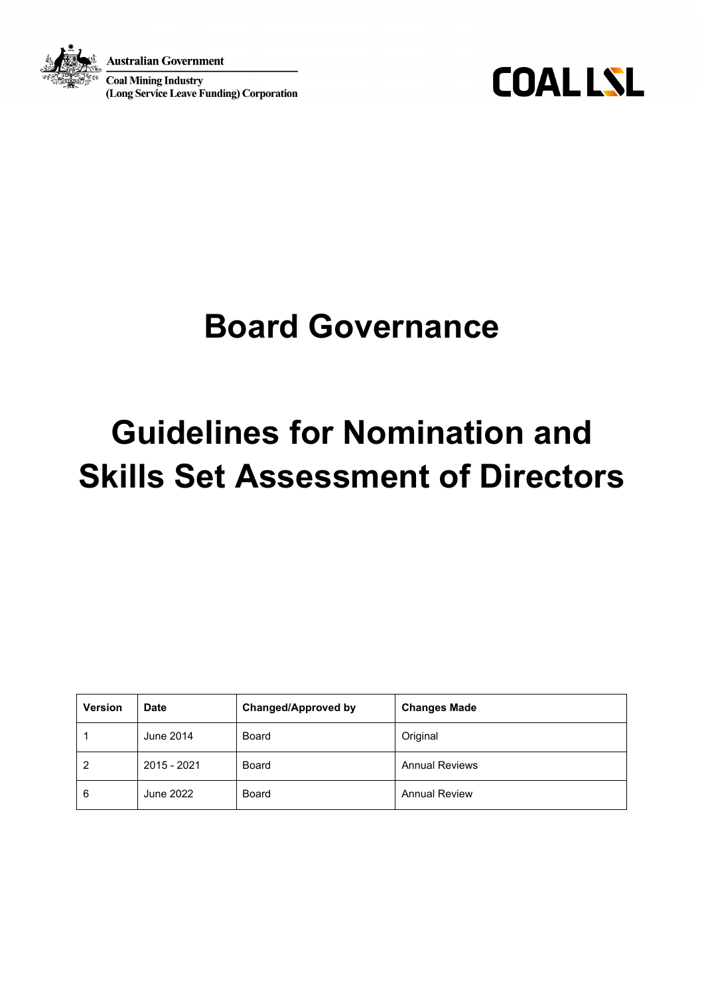

Australian Government

**Coal Mining Industry** (Long Service Leave Funding) Corporation

**COALLSL** 

## **Board Governance**

# **Guidelines for Nomination and Skills Set Assessment of Directors**

| <b>Version</b> | <b>Date</b> | <b>Changed/Approved by</b> | <b>Changes Made</b>   |
|----------------|-------------|----------------------------|-----------------------|
|                | June 2014   | Board                      | Original              |
| 2              | 2015 - 2021 | Board                      | <b>Annual Reviews</b> |
| 6              | June 2022   | Board                      | <b>Annual Review</b>  |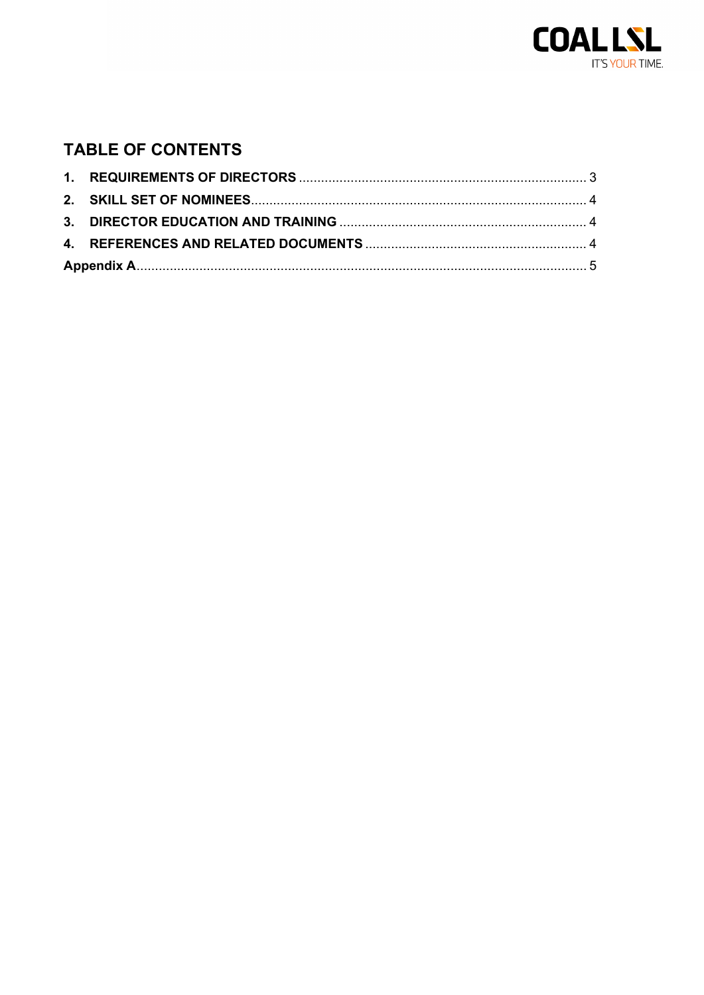

### **TABLE OF CONTENTS**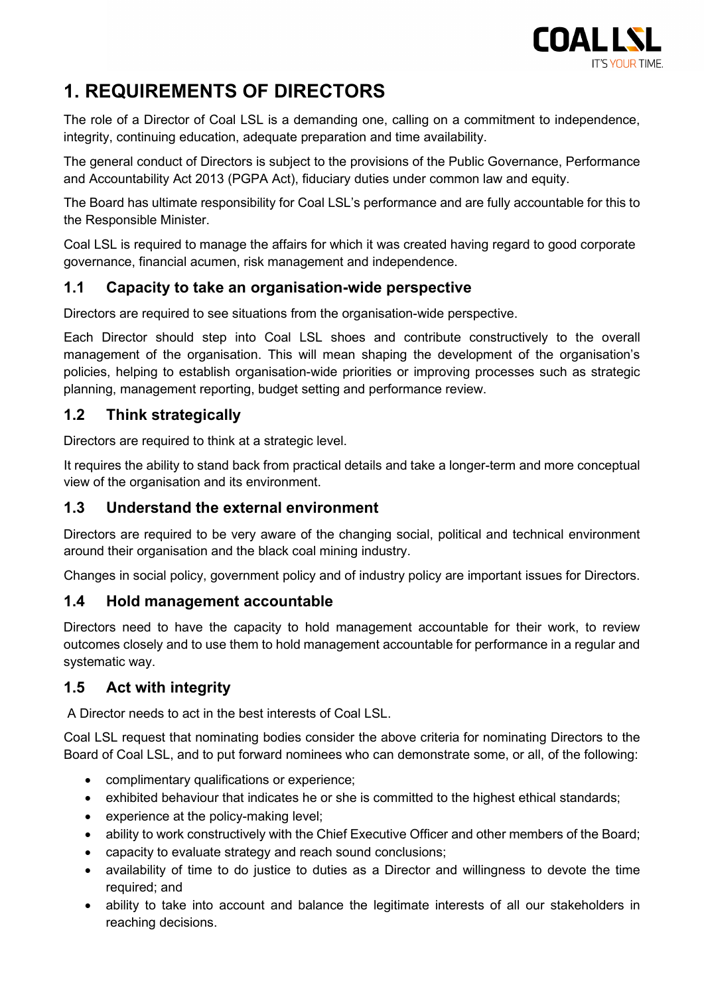

## <span id="page-2-0"></span>**1. REQUIREMENTS OF DIRECTORS**

The role of a Director of Coal LSL is a demanding one, calling on a commitment to independence, integrity, continuing education, adequate preparation and time availability.

The general conduct of Directors is subject to the provisions of the Public Governance, Performance and Accountability Act 2013 (PGPA Act), fiduciary duties under common law and equity.

The Board has ultimate responsibility for Coal LSL's performance and are fully accountable for this to the Responsible Minister.

Coal LSL is required to manage the affairs for which it was created having regard to good corporate governance, financial acumen, risk management and independence.

#### **1.1 Capacity to take an organisation-wide perspective**

Directors are required to see situations from the organisation-wide perspective.

Each Director should step into Coal LSL shoes and contribute constructively to the overall management of the organisation. This will mean shaping the development of the organisation's policies, helping to establish organisation-wide priorities or improving processes such as strategic planning, management reporting, budget setting and performance review.

#### **1.2 Think strategically**

Directors are required to think at a strategic level.

It requires the ability to stand back from practical details and take a longer-term and more conceptual view of the organisation and its environment.

#### **1.3 Understand the external environment**

Directors are required to be very aware of the changing social, political and technical environment around their organisation and the black coal mining industry.

Changes in social policy, government policy and of industry policy are important issues for Directors.

#### **1.4 Hold management accountable**

Directors need to have the capacity to hold management accountable for their work, to review outcomes closely and to use them to hold management accountable for performance in a regular and systematic way.

#### **1.5 Act with integrity**

A Director needs to act in the best interests of Coal LSL.

Coal LSL request that nominating bodies consider the above criteria for nominating Directors to the Board of Coal LSL, and to put forward nominees who can demonstrate some, or all, of the following:

- complimentary qualifications or experience;
- exhibited behaviour that indicates he or she is committed to the highest ethical standards;
- experience at the policy-making level;
- ability to work constructively with the Chief Executive Officer and other members of the Board;
- capacity to evaluate strategy and reach sound conclusions;
- availability of time to do justice to duties as a Director and willingness to devote the time required; and
- ability to take into account and balance the legitimate interests of all our stakeholders in reaching decisions.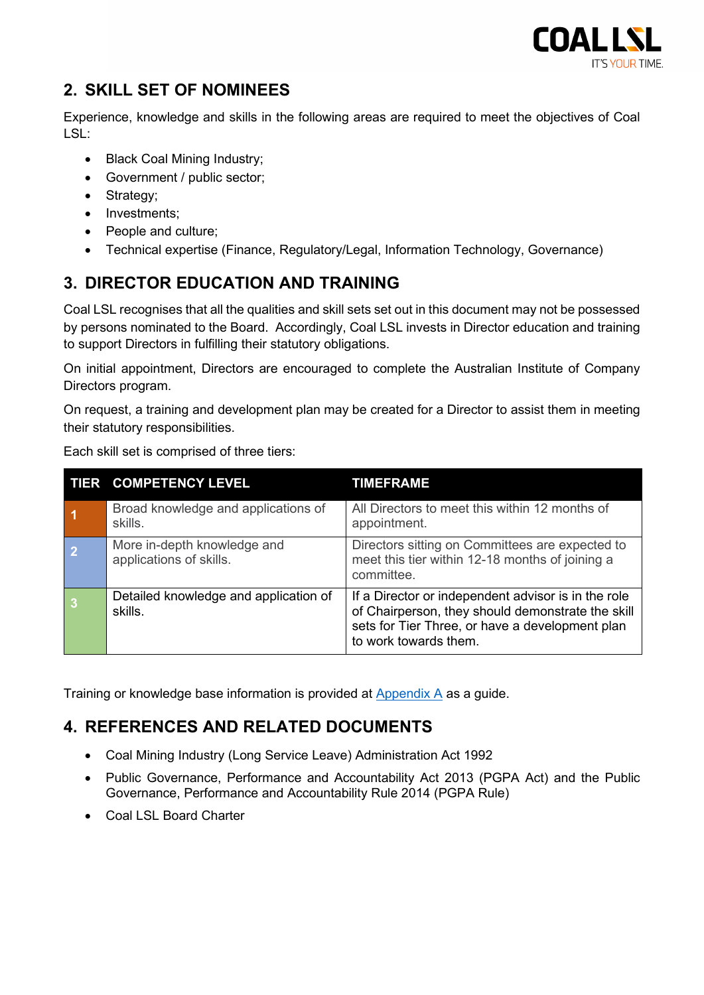

#### <span id="page-3-0"></span>**2. SKILL SET OF NOMINEES**

Experience, knowledge and skills in the following areas are required to meet the objectives of Coal LSL:

- Black Coal Mining Industry;
- Government / public sector;
- Strategy;
- Investments;
- People and culture;
- Technical expertise (Finance, Regulatory/Legal, Information Technology, Governance)

#### <span id="page-3-1"></span>**3. DIRECTOR EDUCATION AND TRAINING**

Coal LSL recognises that all the qualities and skill sets set out in this document may not be possessed by persons nominated to the Board. Accordingly, Coal LSL invests in Director education and training to support Directors in fulfilling their statutory obligations.

On initial appointment, Directors are encouraged to complete the Australian Institute of Company Directors program.

On request, a training and development plan may be created for a Director to assist them in meeting their statutory responsibilities.

|                | TIER COMPETENCY LEVEL                                  | TIMEFRAME                                                                                                                                                                            |
|----------------|--------------------------------------------------------|--------------------------------------------------------------------------------------------------------------------------------------------------------------------------------------|
|                | Broad knowledge and applications of<br>skills.         | All Directors to meet this within 12 months of<br>appointment.                                                                                                                       |
| $\overline{2}$ | More in-depth knowledge and<br>applications of skills. | Directors sitting on Committees are expected to<br>meet this tier within 12-18 months of joining a<br>committee.                                                                     |
| 3              | Detailed knowledge and application of<br>skills.       | If a Director or independent advisor is in the role<br>of Chairperson, they should demonstrate the skill<br>sets for Tier Three, or have a development plan<br>to work towards them. |

Each skill set is comprised of three tiers:

Training or knowledge base information is provided at [Appendix A](#page-4-0) as a guide.

#### <span id="page-3-2"></span>**4. REFERENCES AND RELATED DOCUMENTS**

- Coal Mining Industry (Long Service Leave) Administration Act 1992
- Public Governance, Performance and Accountability Act 2013 (PGPA Act) and the Public Governance, Performance and Accountability Rule 2014 (PGPA Rule)
- Coal LSL Board Charter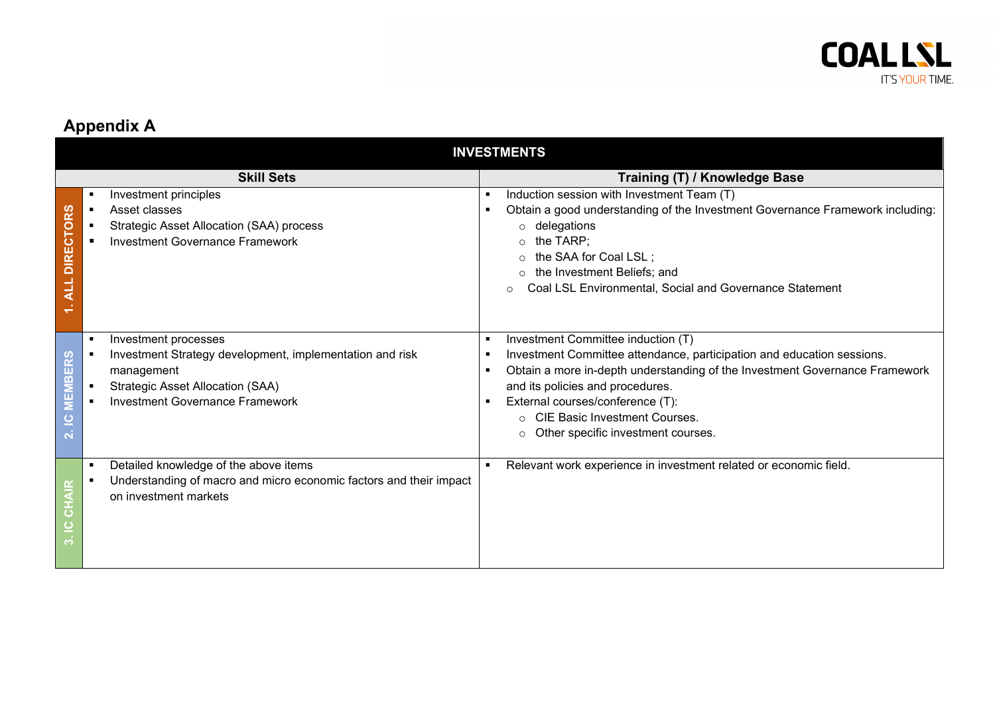

## **Appendix A**

<span id="page-4-0"></span>

|                                           | <b>INVESTMENTS</b>                                                                                                                                                                  |                                                                                                                                                                                                                                                                                                                                                                                                           |  |  |
|-------------------------------------------|-------------------------------------------------------------------------------------------------------------------------------------------------------------------------------------|-----------------------------------------------------------------------------------------------------------------------------------------------------------------------------------------------------------------------------------------------------------------------------------------------------------------------------------------------------------------------------------------------------------|--|--|
|                                           | <b>Skill Sets</b>                                                                                                                                                                   | Training (T) / Knowledge Base                                                                                                                                                                                                                                                                                                                                                                             |  |  |
| <b>CTORS</b><br><b>DIRE</b><br><b>ALL</b> | Investment principles<br>Asset classes<br>Strategic Asset Allocation (SAA) process<br><b>Investment Governance Framework</b>                                                        | Induction session with Investment Team (T)<br>$\blacksquare$<br>Obtain a good understanding of the Investment Governance Framework including:<br>٠<br>delegations<br>$\circ$<br>the TARP;<br>$\circ$<br>the SAA for Coal LSL;<br>$\circ$<br>the Investment Beliefs; and<br>$\circ$<br>Coal LSL Environmental, Social and Governance Statement                                                             |  |  |
| <b>BERS</b><br>2. IC MEM                  | Investment processes<br>Investment Strategy development, implementation and risk<br>management<br><b>Strategic Asset Allocation (SAA)</b><br><b>Investment Governance Framework</b> | Investment Committee induction (T)<br>٠<br>Investment Committee attendance, participation and education sessions.<br>٠<br>Obtain a more in-depth understanding of the Investment Governance Framework<br>٠<br>and its policies and procedures.<br>External courses/conference (T):<br>$\blacksquare$<br><b>CIE Basic Investment Courses.</b><br>$\Omega$<br>Other specific investment courses.<br>$\circ$ |  |  |
|                                           | Detailed knowledge of the above items<br>Understanding of macro and micro economic factors and their impact<br>on investment markets                                                | Relevant work experience in investment related or economic field.                                                                                                                                                                                                                                                                                                                                         |  |  |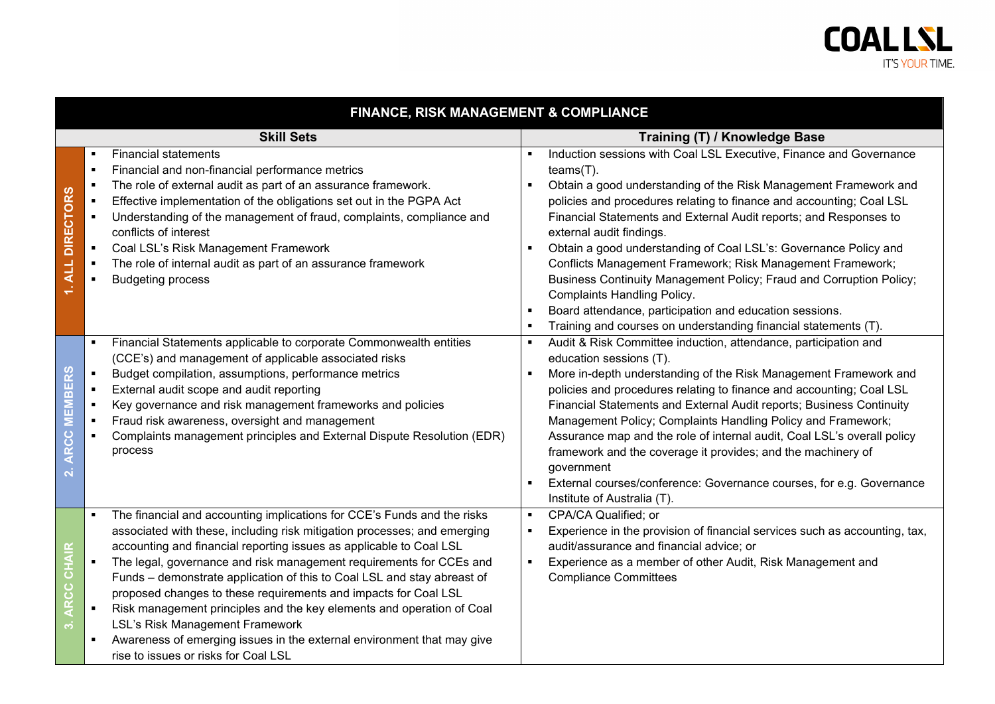

| <b>FINANCE, RISK MANAGEMENT &amp; COMPLIANCE</b>                               |                                                                                                                                                                                                                                                                                                                                                                                                                                                                                                                                                                                                                                                                                                 |                                                                                                                                                                                                                                                                                                                                                                                                                                                                                                                                                                                                                                                                                                              |  |
|--------------------------------------------------------------------------------|-------------------------------------------------------------------------------------------------------------------------------------------------------------------------------------------------------------------------------------------------------------------------------------------------------------------------------------------------------------------------------------------------------------------------------------------------------------------------------------------------------------------------------------------------------------------------------------------------------------------------------------------------------------------------------------------------|--------------------------------------------------------------------------------------------------------------------------------------------------------------------------------------------------------------------------------------------------------------------------------------------------------------------------------------------------------------------------------------------------------------------------------------------------------------------------------------------------------------------------------------------------------------------------------------------------------------------------------------------------------------------------------------------------------------|--|
|                                                                                | <b>Skill Sets</b>                                                                                                                                                                                                                                                                                                                                                                                                                                                                                                                                                                                                                                                                               | Training (T) / Knowledge Base                                                                                                                                                                                                                                                                                                                                                                                                                                                                                                                                                                                                                                                                                |  |
| <b>DIRECTORS</b><br>$1.$ ALL                                                   | <b>Financial statements</b><br>Financial and non-financial performance metrics<br>$\blacksquare$<br>The role of external audit as part of an assurance framework.<br>$\blacksquare$<br>Effective implementation of the obligations set out in the PGPA Act<br>$\blacksquare$<br>Understanding of the management of fraud, complaints, compliance and<br>conflicts of interest<br>Coal LSL's Risk Management Framework<br>$\blacksquare$<br>The role of internal audit as part of an assurance framework<br><b>Budgeting process</b>                                                                                                                                                             | Induction sessions with Coal LSL Executive, Finance and Governance<br>$teams(T)$ .<br>Obtain a good understanding of the Risk Management Framework and<br>policies and procedures relating to finance and accounting; Coal LSL<br>Financial Statements and External Audit reports; and Responses to<br>external audit findings.<br>Obtain a good understanding of Coal LSL's: Governance Policy and<br>Conflicts Management Framework; Risk Management Framework;<br>Business Continuity Management Policy; Fraud and Corruption Policy;<br><b>Complaints Handling Policy.</b><br>Board attendance, participation and education sessions.<br>Training and courses on understanding financial statements (T). |  |
| EMBERS<br>Ξ<br><b>ARCC</b><br>$\overline{\mathbf{N}}$                          | Financial Statements applicable to corporate Commonwealth entities<br>(CCE's) and management of applicable associated risks<br>Budget compilation, assumptions, performance metrics<br>External audit scope and audit reporting<br>Key governance and risk management frameworks and policies<br>Fraud risk awareness, oversight and management<br>Complaints management principles and External Dispute Resolution (EDR)<br>process                                                                                                                                                                                                                                                            | Audit & Risk Committee induction, attendance, participation and<br>education sessions (T).<br>More in-depth understanding of the Risk Management Framework and<br>policies and procedures relating to finance and accounting; Coal LSL<br>Financial Statements and External Audit reports; Business Continuity<br>Management Policy; Complaints Handling Policy and Framework;<br>Assurance map and the role of internal audit, Coal LSL's overall policy<br>framework and the coverage it provides; and the machinery of<br>government<br>External courses/conference: Governance courses, for e.g. Governance<br>Institute of Australia (T).                                                               |  |
| $\propto$<br>로<br>$\overline{\mathbf{o}}$<br><b>RCC</b><br>$\ddot{\mathbf{c}}$ | The financial and accounting implications for CCE's Funds and the risks<br>$\blacksquare$<br>associated with these, including risk mitigation processes; and emerging<br>accounting and financial reporting issues as applicable to Coal LSL<br>The legal, governance and risk management requirements for CCEs and<br>Funds - demonstrate application of this to Coal LSL and stay abreast of<br>proposed changes to these requirements and impacts for Coal LSL<br>Risk management principles and the key elements and operation of Coal<br>LSL's Risk Management Framework<br>Awareness of emerging issues in the external environment that may give<br>rise to issues or risks for Coal LSL | CPA/CA Qualified; or<br>Experience in the provision of financial services such as accounting, tax,<br>audit/assurance and financial advice; or<br>Experience as a member of other Audit, Risk Management and<br><b>Compliance Committees</b>                                                                                                                                                                                                                                                                                                                                                                                                                                                                 |  |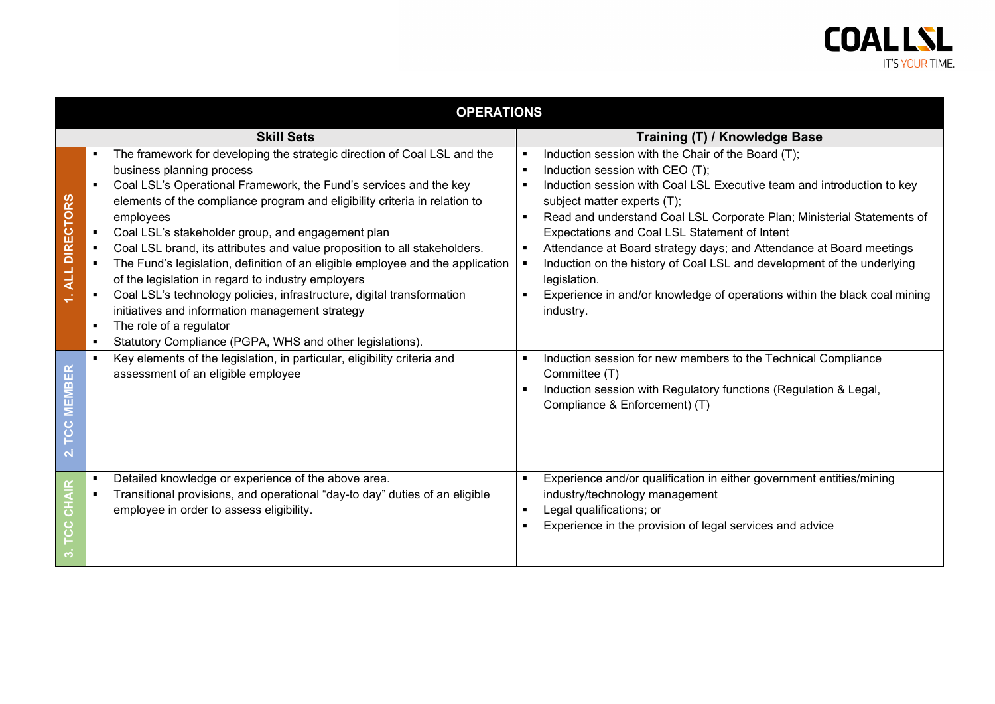|                                               | <b>OPERATIONS</b>                                                                                                                                                                                                                                                                                                                                                                                                                                                                                                                                                                                                                                                                                                                                                   |                                                                                                                                                                                                                                                                                                                                                                                                                                                                                                                                                                                                                  |  |
|-----------------------------------------------|---------------------------------------------------------------------------------------------------------------------------------------------------------------------------------------------------------------------------------------------------------------------------------------------------------------------------------------------------------------------------------------------------------------------------------------------------------------------------------------------------------------------------------------------------------------------------------------------------------------------------------------------------------------------------------------------------------------------------------------------------------------------|------------------------------------------------------------------------------------------------------------------------------------------------------------------------------------------------------------------------------------------------------------------------------------------------------------------------------------------------------------------------------------------------------------------------------------------------------------------------------------------------------------------------------------------------------------------------------------------------------------------|--|
|                                               | <b>Skill Sets</b>                                                                                                                                                                                                                                                                                                                                                                                                                                                                                                                                                                                                                                                                                                                                                   | Training (T) / Knowledge Base                                                                                                                                                                                                                                                                                                                                                                                                                                                                                                                                                                                    |  |
| <b>DIRECTORS</b><br><b>ALL</b>                | The framework for developing the strategic direction of Coal LSL and the<br>business planning process<br>Coal LSL's Operational Framework, the Fund's services and the key<br>elements of the compliance program and eligibility criteria in relation to<br>employees<br>Coal LSL's stakeholder group, and engagement plan<br>Coal LSL brand, its attributes and value proposition to all stakeholders.<br>The Fund's legislation, definition of an eligible employee and the application<br>of the legislation in regard to industry employers<br>Coal LSL's technology policies, infrastructure, digital transformation<br>initiatives and information management strategy<br>The role of a regulator<br>Statutory Compliance (PGPA, WHS and other legislations). | Induction session with the Chair of the Board (T);<br>٠<br>Induction session with CEO (T);<br>$\blacksquare$<br>Induction session with Coal LSL Executive team and introduction to key<br>subject matter experts (T);<br>Read and understand Coal LSL Corporate Plan; Ministerial Statements of<br>Expectations and Coal LSL Statement of Intent<br>Attendance at Board strategy days; and Attendance at Board meetings<br>٠<br>Induction on the history of Coal LSL and development of the underlying<br>legislation.<br>Experience in and/or knowledge of operations within the black coal mining<br>industry. |  |
| E<br>$\mathbf{a}$<br>旨<br>ပ<br>$\overline{O}$ | Key elements of the legislation, in particular, eligibility criteria and<br>$\blacksquare$<br>assessment of an eligible employee                                                                                                                                                                                                                                                                                                                                                                                                                                                                                                                                                                                                                                    | Induction session for new members to the Technical Compliance<br>Committee (T)<br>Induction session with Regulatory functions (Regulation & Legal,<br>٠<br>Compliance & Enforcement) (T)                                                                                                                                                                                                                                                                                                                                                                                                                         |  |
| $\bullet$                                     | Detailed knowledge or experience of the above area.<br>$\blacksquare$<br>Transitional provisions, and operational "day-to day" duties of an eligible<br>employee in order to assess eligibility.                                                                                                                                                                                                                                                                                                                                                                                                                                                                                                                                                                    | Experience and/or qualification in either government entities/mining<br>industry/technology management<br>Legal qualifications; or<br>$\blacksquare$<br>Experience in the provision of legal services and advice                                                                                                                                                                                                                                                                                                                                                                                                 |  |